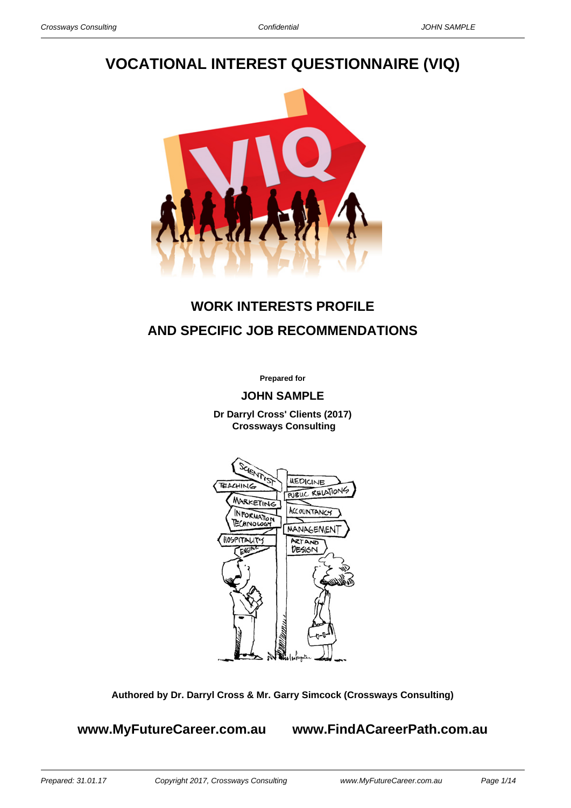# **VOCATIONAL INTEREST QUESTIONNAIRE (VIQ)**



# **WORK INTERESTS PROFILE AND SPECIFIC JOB RECOMMENDATIONS**

**Prepared for**

**JOHN SAMPLE**

**Dr Darryl Cross' Clients (2017) Crossways Consulting**



**Authored by Dr. Darryl Cross & Mr. Garry Simcock (Crossways Consulting)**

**www.MyFutureCareer.com.au www.FindACareerPath.com.au**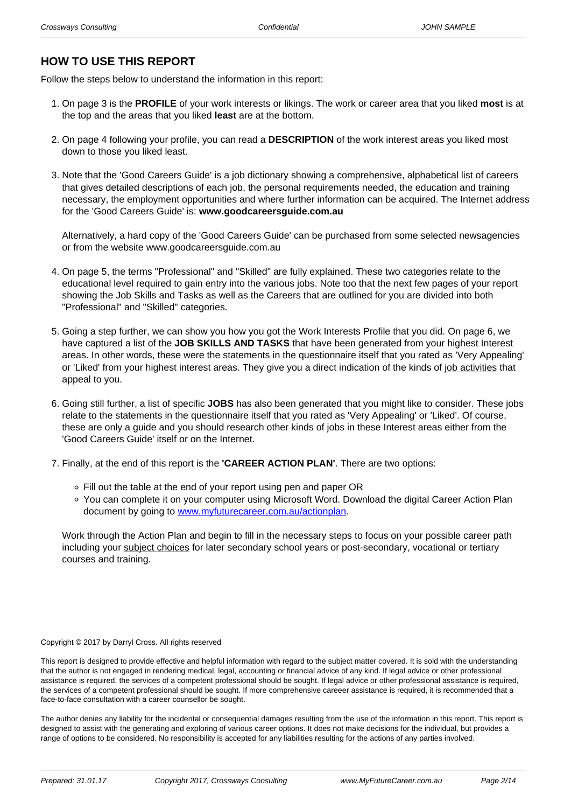# **HOW TO USE THIS REPORT**

Follow the steps below to understand the information in this report:

- 1. On page 3 is the **PROFILE** of your work interests or likings. The work or career area that you liked **most** is at the top and the areas that you liked **least** are at the bottom.
- 2. On page 4 following your profile, you can read a **DESCRIPTION** of the work interest areas you liked most down to those you liked least.
- 3. Note that the 'Good Careers Guide' is a job dictionary showing a comprehensive, alphabetical list of careers that gives detailed descriptions of each job, the personal requirements needed, the education and training necessary, the employment opportunities and where further information can be acquired. The Internet address for the 'Good Careers Guide' is: **www.goodcareersguide.com.au**

Alternatively, a hard copy of the 'Good Careers Guide' can be purchased from some selected newsagencies or from the website www.goodcareersguide.com.au

- 4. On page 5, the terms "Professional" and "Skilled" are fully explained. These two categories relate to the educational level required to gain entry into the various jobs. Note too that the next few pages of your report showing the Job Skills and Tasks as well as the Careers that are outlined for you are divided into both "Professional" and "Skilled" categories.
- 5. Going a step further, we can show you how you got the Work Interests Profile that you did. On page 6, we have captured a list of the **JOB SKILLS AND TASKS** that have been generated from your highest Interest areas. In other words, these were the statements in the questionnaire itself that you rated as 'Very Appealing' or 'Liked' from your highest interest areas. They give you a direct indication of the kinds of job activities that appeal to you.
- 6. Going still further, a list of specific **JOBS** has also been generated that you might like to consider. These jobs relate to the statements in the questionnaire itself that you rated as 'Very Appealing' or 'Liked'. Of course, these are only a guide and you should research other kinds of jobs in these Interest areas either from the 'Good Careers Guide' itself or on the Internet.
- 7. Finally, at the end of this report is the **'CAREER ACTION PLAN'**. There are two options:
	- Fill out the table at the end of your report using pen and paper OR
	- You can complete it on your computer using Microsoft Word. Download the digital Career Action Plan document by going to [www.myfuturecareer.com.au/actionplan](/actionplan).

Work through the Action Plan and begin to fill in the necessary steps to focus on your possible career path including your subject choices for later secondary school years or post-secondary, vocational or tertiary courses and training.

#### Copyright © 2017 by Darryl Cross. All rights reserved

This report is designed to provide effective and helpful information with regard to the subject matter covered. It is sold with the understanding that the author is not engaged in rendering medical, legal, accounting or financial advice of any kind. If legal advice or other professional assistance is required, the services of a competent professional should be sought. If legal advice or other professional assistance is required, the services of a competent professional should be sought. If more comprehensive careeer assistance is required, it is recommended that a face-to-face consultation with a career counsellor be sought.

The author denies any liability for the incidental or consequential damages resulting from the use of the information in this report. This report is designed to assist with the generating and exploring of various career options. It does not make decisions for the individual, but provides a range of options to be considered. No responsibility is accepted for any liabilities resulting for the actions of any parties involved.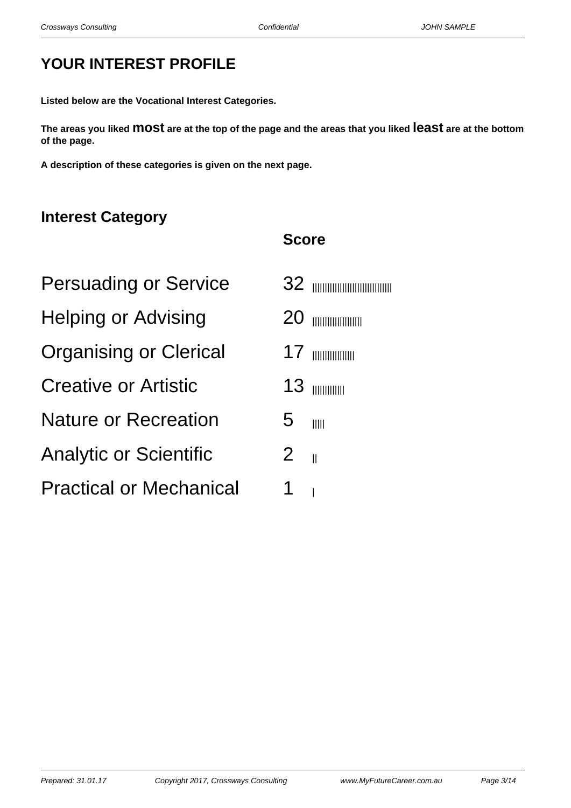# **YOUR INTEREST PROFILE**

**Listed below are the Vocational Interest Categories.**

**The areas you liked most are at the top of the page and the areas that you liked least are at the bottom of the page.**

**Score**

**A description of these categories is given on the next page.**

# **Interest Category**

| <b>Persuading or Service</b>   |                        | 32 mmmmmmmmmm      |
|--------------------------------|------------------------|--------------------|
| <b>Helping or Advising</b>     | 20                     | <b>THURBOURNEY</b> |
| <b>Organising or Clerical</b>  |                        | $17$ mmmmmm        |
| <b>Creative or Artistic</b>    |                        | $13$ minimum       |
| <b>Nature or Recreation</b>    | 5                      | IIII               |
| <b>Analytic or Scientific</b>  | $2 \quad \blacksquare$ |                    |
| <b>Practical or Mechanical</b> |                        |                    |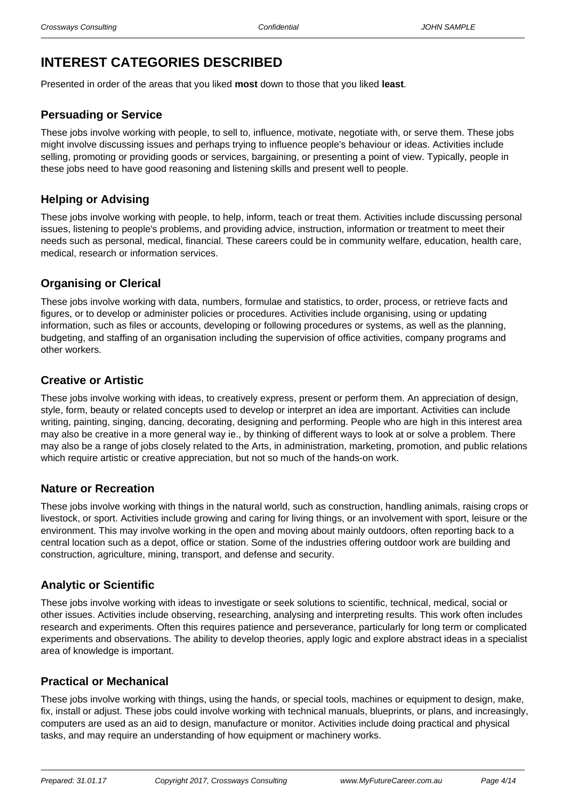# **INTEREST CATEGORIES DESCRIBED**

Presented in order of the areas that you liked **most** down to those that you liked **least**.

### **Persuading or Service**

These jobs involve working with people, to sell to, influence, motivate, negotiate with, or serve them. These jobs might involve discussing issues and perhaps trying to influence people's behaviour or ideas. Activities include selling, promoting or providing goods or services, bargaining, or presenting a point of view. Typically, people in these jobs need to have good reasoning and listening skills and present well to people.

### **Helping or Advising**

These jobs involve working with people, to help, inform, teach or treat them. Activities include discussing personal issues, listening to people's problems, and providing advice, instruction, information or treatment to meet their needs such as personal, medical, financial. These careers could be in community welfare, education, health care, medical, research or information services.

### **Organising or Clerical**

These jobs involve working with data, numbers, formulae and statistics, to order, process, or retrieve facts and figures, or to develop or administer policies or procedures. Activities include organising, using or updating information, such as files or accounts, developing or following procedures or systems, as well as the planning, budgeting, and staffing of an organisation including the supervision of office activities, company programs and other workers.

### **Creative or Artistic**

These jobs involve working with ideas, to creatively express, present or perform them. An appreciation of design, style, form, beauty or related concepts used to develop or interpret an idea are important. Activities can include writing, painting, singing, dancing, decorating, designing and performing. People who are high in this interest area may also be creative in a more general way ie., by thinking of different ways to look at or solve a problem. There may also be a range of jobs closely related to the Arts, in administration, marketing, promotion, and public relations which require artistic or creative appreciation, but not so much of the hands-on work.

### **Nature or Recreation**

These jobs involve working with things in the natural world, such as construction, handling animals, raising crops or livestock, or sport. Activities include growing and caring for living things, or an involvement with sport, leisure or the environment. This may involve working in the open and moving about mainly outdoors, often reporting back to a central location such as a depot, office or station. Some of the industries offering outdoor work are building and construction, agriculture, mining, transport, and defense and security.

### **Analytic or Scientific**

These jobs involve working with ideas to investigate or seek solutions to scientific, technical, medical, social or other issues. Activities include observing, researching, analysing and interpreting results. This work often includes research and experiments. Often this requires patience and perseverance, particularly for long term or complicated experiments and observations. The ability to develop theories, apply logic and explore abstract ideas in a specialist area of knowledge is important.

### **Practical or Mechanical**

These jobs involve working with things, using the hands, or special tools, machines or equipment to design, make, fix, install or adjust. These jobs could involve working with technical manuals, blueprints, or plans, and increasingly, computers are used as an aid to design, manufacture or monitor. Activities include doing practical and physical tasks, and may require an understanding of how equipment or machinery works.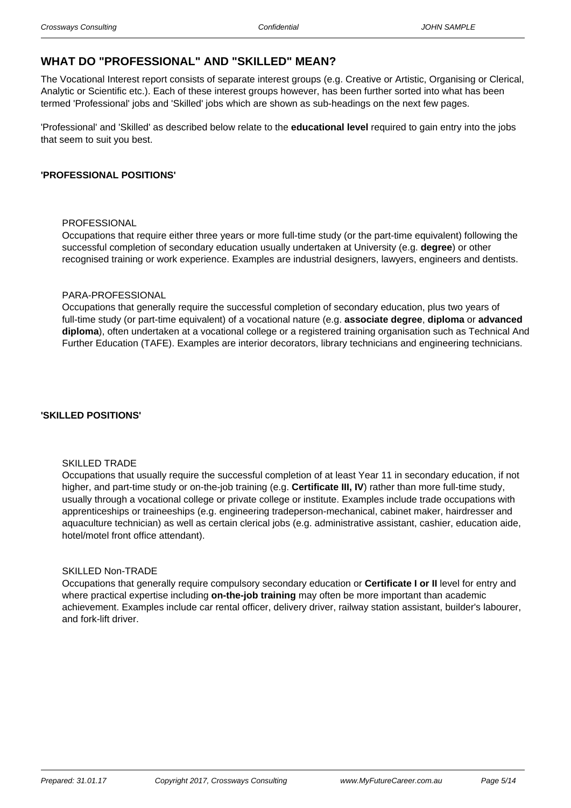## **WHAT DO "PROFESSIONAL" AND "SKILLED" MEAN?**

The Vocational Interest report consists of separate interest groups (e.g. Creative or Artistic, Organising or Clerical, Analytic or Scientific etc.). Each of these interest groups however, has been further sorted into what has been termed 'Professional' jobs and 'Skilled' jobs which are shown as sub-headings on the next few pages.

'Professional' and 'Skilled' as described below relate to the **educational level** required to gain entry into the jobs that seem to suit you best.

#### **'PROFESSIONAL POSITIONS'**

#### PROFESSIONAL

Occupations that require either three years or more full-time study (or the part-time equivalent) following the successful completion of secondary education usually undertaken at University (e.g. **degree**) or other recognised training or work experience. Examples are industrial designers, lawyers, engineers and dentists.

#### PARA-PROFESSIONAL

Occupations that generally require the successful completion of secondary education, plus two years of full-time study (or part-time equivalent) of a vocational nature (e.g. **associate degree**, **diploma** or **advanced diploma**), often undertaken at a vocational college or a registered training organisation such as Technical And Further Education (TAFE). Examples are interior decorators, library technicians and engineering technicians.

#### **'SKILLED POSITIONS'**

#### SKILLED TRADE

Occupations that usually require the successful completion of at least Year 11 in secondary education, if not higher, and part-time study or on-the-job training (e.g. **Certificate III, IV**) rather than more full-time study, usually through a vocational college or private college or institute. Examples include trade occupations with apprenticeships or traineeships (e.g. engineering tradeperson-mechanical, cabinet maker, hairdresser and aquaculture technician) as well as certain clerical jobs (e.g. administrative assistant, cashier, education aide, hotel/motel front office attendant).

#### SKILLED Non-TRADE

Occupations that generally require compulsory secondary education or **Certificate I or II** level for entry and where practical expertise including **on-the-job training** may often be more important than academic achievement. Examples include car rental officer, delivery driver, railway station assistant, builder's labourer, and fork-lift driver.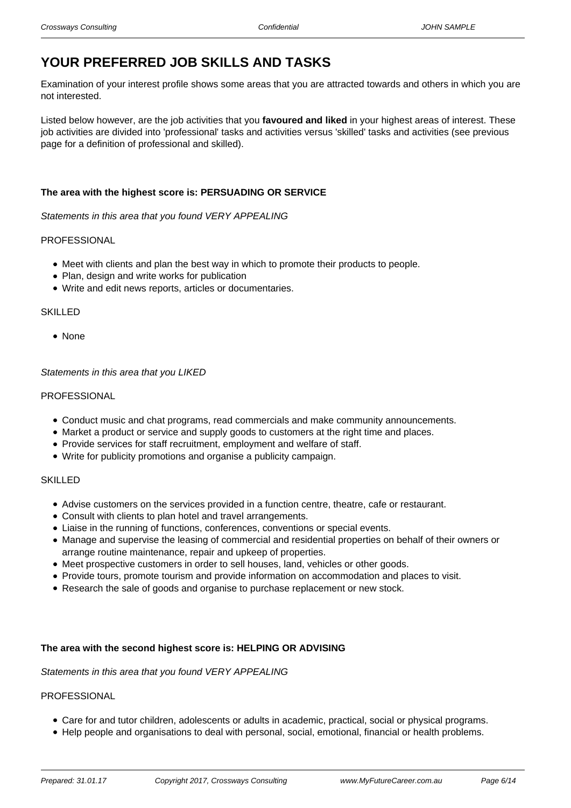# **YOUR PREFERRED JOB SKILLS AND TASKS**

Examination of your interest profile shows some areas that you are attracted towards and others in which you are not interested.

Listed below however, are the job activities that you **favoured and liked** in your highest areas of interest. These job activities are divided into 'professional' tasks and activities versus 'skilled' tasks and activities (see previous page for a definition of professional and skilled).

#### **The area with the highest score is: PERSUADING OR SERVICE**

Statements in this area that you found VERY APPEALING

#### PROFESSIONAL

- Meet with clients and plan the best way in which to promote their products to people.
- Plan, design and write works for publication
- Write and edit news reports, articles or documentaries.

#### **SKILLED**

• None

#### Statements in this area that you LIKED

#### **PROFESSIONAL**

- Conduct music and chat programs, read commercials and make community announcements.
- Market a product or service and supply goods to customers at the right time and places.
- Provide services for staff recruitment, employment and welfare of staff.
- Write for publicity promotions and organise a publicity campaign.

#### SKILLED

- Advise customers on the services provided in a function centre, theatre, cafe or restaurant.
- Consult with clients to plan hotel and travel arrangements.
- Liaise in the running of functions, conferences, conventions or special events.
- Manage and supervise the leasing of commercial and residential properties on behalf of their owners or arrange routine maintenance, repair and upkeep of properties.
- Meet prospective customers in order to sell houses, land, vehicles or other goods.
- Provide tours, promote tourism and provide information on accommodation and places to visit.
- Research the sale of goods and organise to purchase replacement or new stock.

#### **The area with the second highest score is: HELPING OR ADVISING**

Statements in this area that you found VERY APPEALING

#### **PROFESSIONAL**

- Care for and tutor children, adolescents or adults in academic, practical, social or physical programs.
- Help people and organisations to deal with personal, social, emotional, financial or health problems.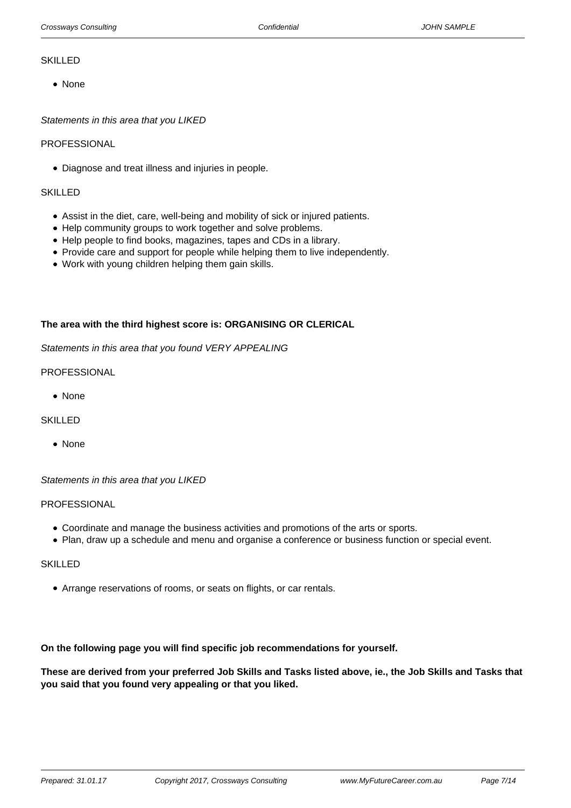#### SKILLED

None

Statements in this area that you LIKED

#### **PROFESSIONAL**

Diagnose and treat illness and injuries in people.

#### **SKILLED**

- Assist in the diet, care, well-being and mobility of sick or injured patients.
- Help community groups to work together and solve problems.
- Help people to find books, magazines, tapes and CDs in a library.
- Provide care and support for people while helping them to live independently.
- Work with young children helping them gain skills.

#### **The area with the third highest score is: ORGANISING OR CLERICAL**

Statements in this area that you found VERY APPEALING

#### PROFESSIONAL

• None

#### **SKILLED**

• None

Statements in this area that you LIKED

#### PROFESSIONAL

- Coordinate and manage the business activities and promotions of the arts or sports.
- Plan, draw up a schedule and menu and organise a conference or business function or special event.

#### **SKILLED**

Arrange reservations of rooms, or seats on flights, or car rentals.

#### **On the following page you will find specific job recommendations for yourself.**

**These are derived from your preferred Job Skills and Tasks listed above, ie., the Job Skills and Tasks that you said that you found very appealing or that you liked.**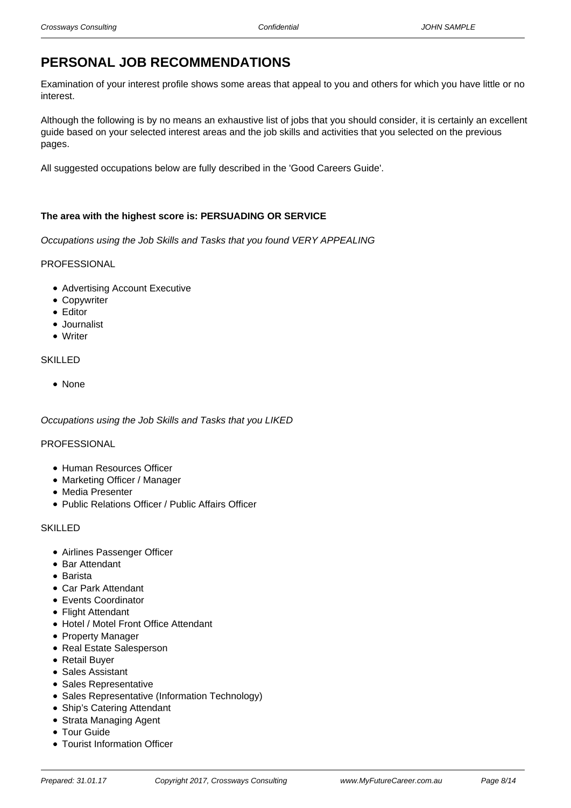# **PERSONAL JOB RECOMMENDATIONS**

Examination of your interest profile shows some areas that appeal to you and others for which you have little or no interest.

Although the following is by no means an exhaustive list of jobs that you should consider, it is certainly an excellent guide based on your selected interest areas and the job skills and activities that you selected on the previous pages.

All suggested occupations below are fully described in the 'Good Careers Guide'.

#### **The area with the highest score is: PERSUADING OR SERVICE**

Occupations using the Job Skills and Tasks that you found VERY APPEALING

#### PROFESSIONAL

- Advertising Account Executive
- Copywriter
- Editor
- Journalist
- Writer

#### SKILLED

• None

Occupations using the Job Skills and Tasks that you LIKED

#### PROFESSIONAL

- Human Resources Officer
- Marketing Officer / Manager
- Media Presenter
- Public Relations Officer / Public Affairs Officer

#### **SKILLED**

- Airlines Passenger Officer
- Bar Attendant
- Barista
- Car Park Attendant
- Events Coordinator
- Flight Attendant
- Hotel / Motel Front Office Attendant
- Property Manager
- Real Estate Salesperson
- Retail Buyer
- Sales Assistant
- Sales Representative
- Sales Representative (Information Technology)
- Ship's Catering Attendant
- Strata Managing Agent
- Tour Guide
- Tourist Information Officer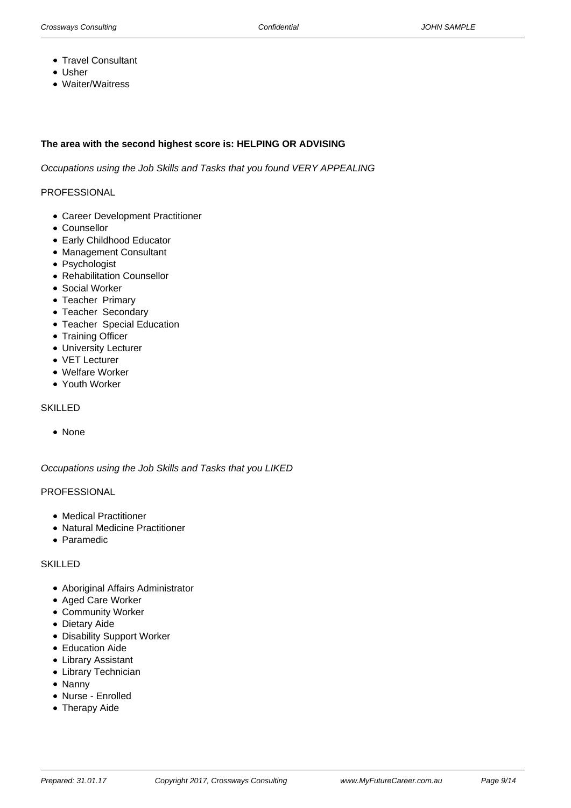- Travel Consultant
- Usher
- Waiter/Waitress

#### **The area with the second highest score is: HELPING OR ADVISING**

Occupations using the Job Skills and Tasks that you found VERY APPEALING

#### PROFESSIONAL

- Career Development Practitioner
- Counsellor
- Early Childhood Educator
- Management Consultant
- Psychologist
- Rehabilitation Counsellor
- Social Worker
- Teacher Primary
- Teacher Secondary
- Teacher Special Education
- Training Officer
- University Lecturer
- VET Lecturer
- Welfare Worker
- Youth Worker

#### SKILLED

• None

Occupations using the Job Skills and Tasks that you LIKED

#### PROFESSIONAL

- Medical Practitioner
- Natural Medicine Practitioner
- Paramedic

#### **SKILLED**

- Aboriginal Affairs Administrator
- Aged Care Worker
- Community Worker
- Dietary Aide
- Disability Support Worker
- Education Aide
- Library Assistant
- Library Technician
- Nanny
- Nurse Enrolled
- Therapy Aide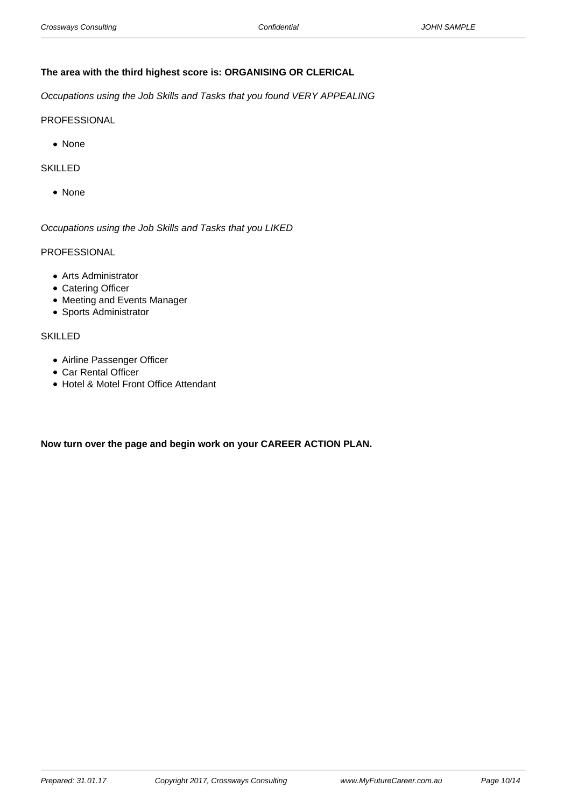#### **The area with the third highest score is: ORGANISING OR CLERICAL**

Occupations using the Job Skills and Tasks that you found VERY APPEALING

#### PROFESSIONAL

• None

#### SKILLED

• None

Occupations using the Job Skills and Tasks that you LIKED

### PROFESSIONAL

- Arts Administrator
- Catering Officer
- Meeting and Events Manager
- Sports Administrator

#### SKILLED

- Airline Passenger Officer
- Car Rental Officer
- Hotel & Motel Front Office Attendant

**Now turn over the page and begin work on your CAREER ACTION PLAN.**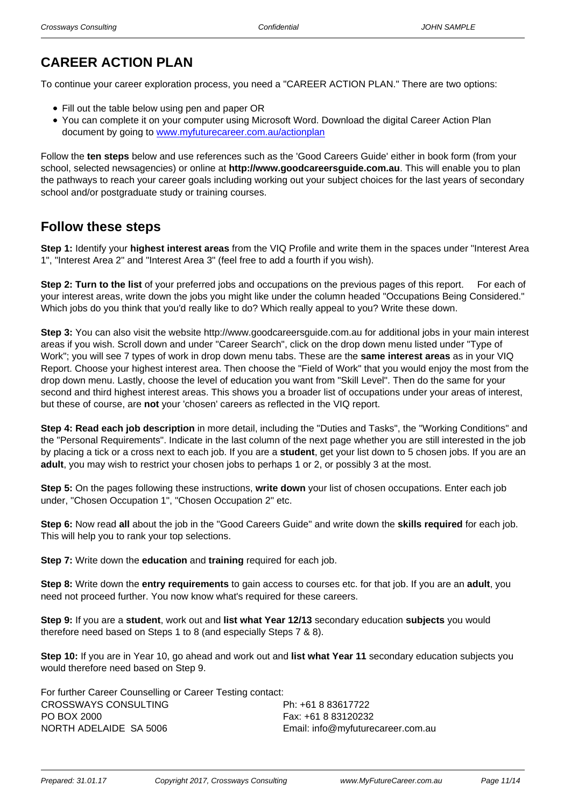# **CAREER ACTION PLAN**

To continue your career exploration process, you need a "CAREER ACTION PLAN." There are two options:

- Fill out the table below using pen and paper OR
- You can complete it on your computer using Microsoft Word. Download the digital Career Action Plan document by going to [www.myfuturecareer.com.au/actionplan](/actionplan)

Follow the **ten steps** below and use references such as the 'Good Careers Guide' either in book form (from your school, selected newsagencies) or online at **http://www.goodcareersguide.com.au**. This will enable you to plan the pathways to reach your career goals including working out your subject choices for the last years of secondary school and/or postgraduate study or training courses.

# **Follow these steps**

**Step 1:** Identify your **highest interest areas** from the VIQ Profile and write them in the spaces under "Interest Area 1", "Interest Area 2" and "Interest Area 3" (feel free to add a fourth if you wish).

**Step 2: Turn to the list** of your preferred jobs and occupations on the previous pages of this report. For each of your interest areas, write down the jobs you might like under the column headed "Occupations Being Considered." Which jobs do you think that you'd really like to do? Which really appeal to you? Write these down.

**Step 3:** You can also visit the website http://www.goodcareersguide.com.au for additional jobs in your main interest areas if you wish. Scroll down and under "Career Search", click on the drop down menu listed under "Type of Work"; you will see 7 types of work in drop down menu tabs. These are the **same interest areas** as in your VIQ Report. Choose your highest interest area. Then choose the "Field of Work" that you would enjoy the most from the drop down menu. Lastly, choose the level of education you want from "Skill Level". Then do the same for your second and third highest interest areas. This shows you a broader list of occupations under your areas of interest, but these of course, are **not** your 'chosen' careers as reflected in the VIQ report.

**Step 4: Read each job description** in more detail, including the "Duties and Tasks", the "Working Conditions" and the "Personal Requirements". Indicate in the last column of the next page whether you are still interested in the job by placing a tick or a cross next to each job. If you are a **student**, get your list down to 5 chosen jobs. If you are an **adult**, you may wish to restrict your chosen jobs to perhaps 1 or 2, or possibly 3 at the most.

**Step 5:** On the pages following these instructions, **write down** your list of chosen occupations. Enter each job under, "Chosen Occupation 1", "Chosen Occupation 2" etc.

**Step 6:** Now read **all** about the job in the "Good Careers Guide" and write down the **skills required** for each job. This will help you to rank your top selections.

**Step 7:** Write down the **education** and **training** required for each job.

**Step 8:** Write down the **entry requirements** to gain access to courses etc. for that job. If you are an **adult**, you need not proceed further. You now know what's required for these careers.

**Step 9:** If you are a **student**, work out and **list what Year 12/13** secondary education **subjects** you would therefore need based on Steps 1 to 8 (and especially Steps 7 & 8).

**Step 10:** If you are in Year 10, go ahead and work out and **list what Year 11** secondary education subjects you would therefore need based on Step 9.

| For further Career Counselling or Career Testing contact: |                                   |
|-----------------------------------------------------------|-----------------------------------|
| CROSSWAYS CONSULTING                                      | Ph: +61 8 83617722                |
| PO BOX 2000                                               | Fax: +61 8 83120232               |
| NORTH ADELAIDE SA 5006                                    | Email: info@myfuturecareer.com.au |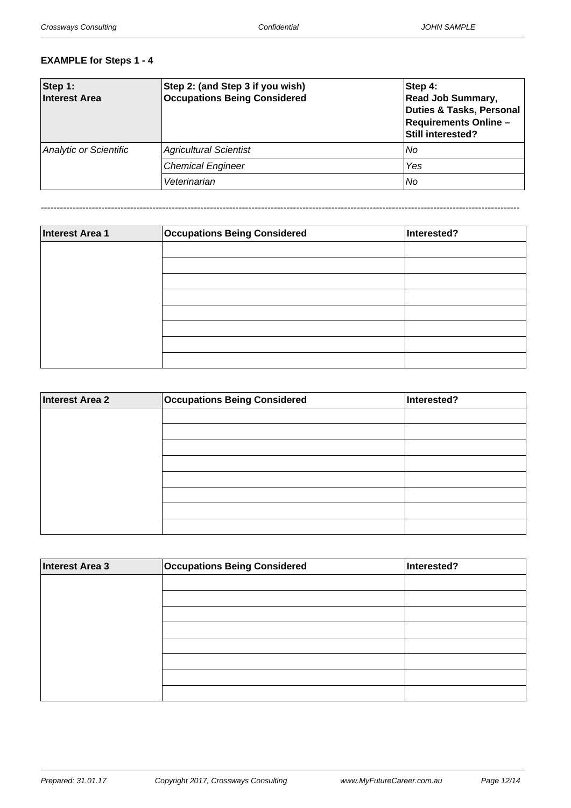# **EXAMPLE for Steps 1 - 4**

| Step 1:<br>Interest Area      | Step 2: (and Step 3 if you wish)<br><b>Occupations Being Considered</b> | Step 4:<br><b>Read Job Summary,</b><br>Duties & Tasks, Personal<br><b>Requirements Online-</b><br>Still interested? |
|-------------------------------|-------------------------------------------------------------------------|---------------------------------------------------------------------------------------------------------------------|
| <b>Analytic or Scientific</b> | <b>Agricultural Scientist</b>                                           | No                                                                                                                  |
|                               | <b>Chemical Engineer</b>                                                | Yes                                                                                                                 |
|                               | Veterinarian                                                            | No                                                                                                                  |

------------------------------------------------------------------------------------------------------------------------------------------------------

| <b>Interest Area 1</b> | <b>Occupations Being Considered</b> | Interested? |
|------------------------|-------------------------------------|-------------|
|                        |                                     |             |
|                        |                                     |             |
|                        |                                     |             |
|                        |                                     |             |
|                        |                                     |             |
|                        |                                     |             |
|                        |                                     |             |
|                        |                                     |             |

| <b>Interest Area 2</b> | <b>Occupations Being Considered</b> | Interested? |
|------------------------|-------------------------------------|-------------|
|                        |                                     |             |
|                        |                                     |             |
|                        |                                     |             |
|                        |                                     |             |
|                        |                                     |             |
|                        |                                     |             |
|                        |                                     |             |
|                        |                                     |             |

| Interest Area 3 | <b>Occupations Being Considered</b> | Interested? |
|-----------------|-------------------------------------|-------------|
|                 |                                     |             |
|                 |                                     |             |
|                 |                                     |             |
|                 |                                     |             |
|                 |                                     |             |
|                 |                                     |             |
|                 |                                     |             |
|                 |                                     |             |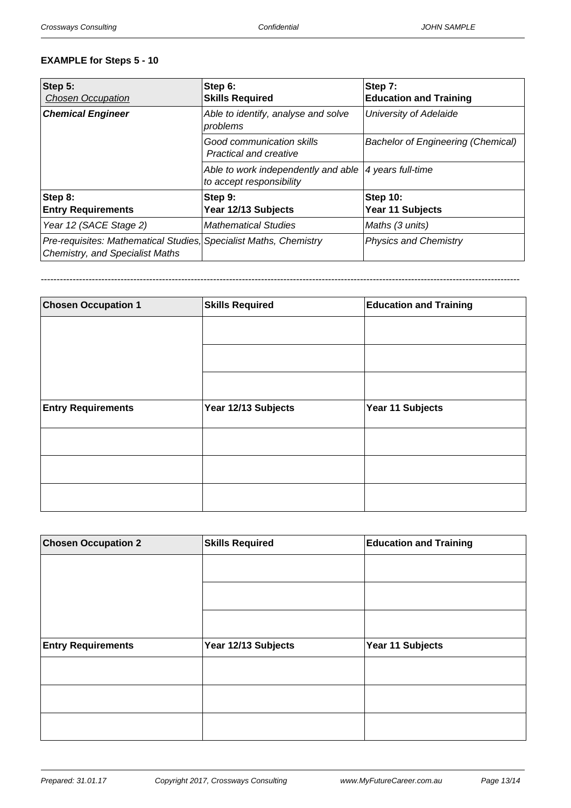#### **EXAMPLE for Steps 5 - 10**

| Step 5:<br><b>Chosen Occupation</b>                                                                         | Step 6:<br><b>Skills Required</b>                                                   | Step 7:<br><b>Education and Training</b>  |
|-------------------------------------------------------------------------------------------------------------|-------------------------------------------------------------------------------------|-------------------------------------------|
| <b>Chemical Engineer</b>                                                                                    | Able to identify, analyse and solve<br>problems                                     | University of Adelaide                    |
|                                                                                                             | Good communication skills<br><b>Practical and creative</b>                          | <b>Bachelor of Engineering (Chemical)</b> |
|                                                                                                             | Able to work independently and able   4 years full-time<br>to accept responsibility |                                           |
| Step 8:                                                                                                     | Step 9:                                                                             | Step 10:                                  |
| <b>Entry Requirements</b>                                                                                   | Year 12/13 Subjects                                                                 | Year 11 Subjects                          |
| Year 12 (SACE Stage 2)                                                                                      | <b>Mathematical Studies</b>                                                         | Maths (3 units)                           |
| Pre-requisites: Mathematical Studies, Specialist Maths, Chemistry<br><b>Chemistry, and Specialist Maths</b> |                                                                                     | <b>Physics and Chemistry</b>              |

------------------------------------------------------------------------------------------------------------------------------------------------------

| <b>Chosen Occupation 1</b> | <b>Skills Required</b> | <b>Education and Training</b> |
|----------------------------|------------------------|-------------------------------|
|                            |                        |                               |
|                            |                        |                               |
|                            |                        |                               |
| <b>Entry Requirements</b>  | Year 12/13 Subjects    | Year 11 Subjects              |
|                            |                        |                               |
|                            |                        |                               |
|                            |                        |                               |

| <b>Chosen Occupation 2</b> | <b>Skills Required</b> | <b>Education and Training</b> |
|----------------------------|------------------------|-------------------------------|
|                            |                        |                               |
|                            |                        |                               |
|                            |                        |                               |
| <b>Entry Requirements</b>  | Year 12/13 Subjects    | Year 11 Subjects              |
|                            |                        |                               |
|                            |                        |                               |
|                            |                        |                               |